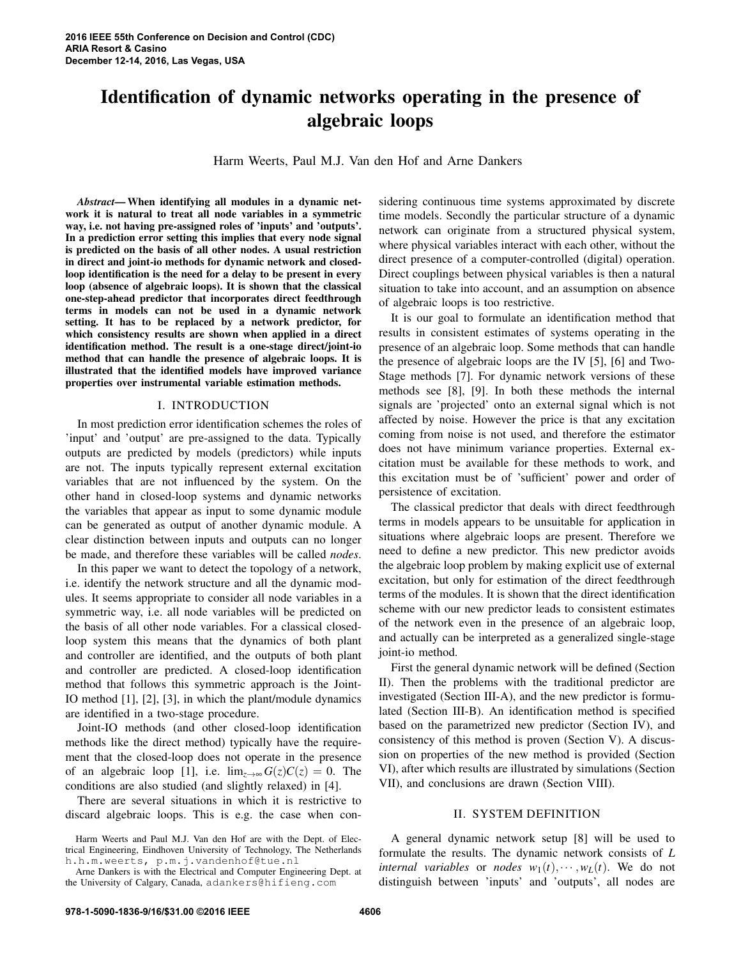# Identification of dynamic networks operating in the presence of algebraic loops

Harm Weerts, Paul M.J. Van den Hof and Arne Dankers

*Abstract*— When identifying all modules in a dynamic network it is natural to treat all node variables in a symmetric way, i.e. not having pre-assigned roles of 'inputs' and 'outputs'. In a prediction error setting this implies that every node signal is predicted on the basis of all other nodes. A usual restriction in direct and joint-io methods for dynamic network and closedloop identification is the need for a delay to be present in every loop (absence of algebraic loops). It is shown that the classical one-step-ahead predictor that incorporates direct feedthrough terms in models can not be used in a dynamic network setting. It has to be replaced by a network predictor, for which consistency results are shown when applied in a direct identification method. The result is a one-stage direct/joint-io method that can handle the presence of algebraic loops. It is illustrated that the identified models have improved variance properties over instrumental variable estimation methods.

#### I. INTRODUCTION

In most prediction error identification schemes the roles of 'input' and 'output' are pre-assigned to the data. Typically outputs are predicted by models (predictors) while inputs are not. The inputs typically represent external excitation variables that are not influenced by the system. On the other hand in closed-loop systems and dynamic networks the variables that appear as input to some dynamic module can be generated as output of another dynamic module. A clear distinction between inputs and outputs can no longer be made, and therefore these variables will be called *nodes*.

In this paper we want to detect the topology of a network, i.e. identify the network structure and all the dynamic modules. It seems appropriate to consider all node variables in a symmetric way, i.e. all node variables will be predicted on the basis of all other node variables. For a classical closedloop system this means that the dynamics of both plant and controller are identified, and the outputs of both plant and controller are predicted. A closed-loop identification method that follows this symmetric approach is the Joint-IO method [1], [2], [3], in which the plant/module dynamics are identified in a two-stage procedure.

Joint-IO methods (and other closed-loop identification methods like the direct method) typically have the requirement that the closed-loop does not operate in the presence of an algebraic loop [1], i.e.  $\lim_{z\to\infty} G(z)C(z) = 0$ . The conditions are also studied (and slightly relaxed) in [4].

There are several situations in which it is restrictive to discard algebraic loops. This is e.g. the case when considering continuous time systems approximated by discrete time models. Secondly the particular structure of a dynamic network can originate from a structured physical system, where physical variables interact with each other, without the direct presence of a computer-controlled (digital) operation. Direct couplings between physical variables is then a natural situation to take into account, and an assumption on absence of algebraic loops is too restrictive.

It is our goal to formulate an identification method that results in consistent estimates of systems operating in the presence of an algebraic loop. Some methods that can handle the presence of algebraic loops are the IV [5], [6] and Two-Stage methods [7]. For dynamic network versions of these methods see [8], [9]. In both these methods the internal signals are 'projected' onto an external signal which is not affected by noise. However the price is that any excitation coming from noise is not used, and therefore the estimator does not have minimum variance properties. External excitation must be available for these methods to work, and this excitation must be of 'sufficient' power and order of persistence of excitation.

The classical predictor that deals with direct feedthrough terms in models appears to be unsuitable for application in situations where algebraic loops are present. Therefore we need to define a new predictor. This new predictor avoids the algebraic loop problem by making explicit use of external excitation, but only for estimation of the direct feedthrough terms of the modules. It is shown that the direct identification scheme with our new predictor leads to consistent estimates of the network even in the presence of an algebraic loop, and actually can be interpreted as a generalized single-stage joint-io method.

First the general dynamic network will be defined (Section II). Then the problems with the traditional predictor are investigated (Section III-A), and the new predictor is formulated (Section III-B). An identification method is specified based on the parametrized new predictor (Section IV), and consistency of this method is proven (Section V). A discussion on properties of the new method is provided (Section VI), after which results are illustrated by simulations (Section VII), and conclusions are drawn (Section VIII).

## II. SYSTEM DEFINITION

A general dynamic network setup [8] will be used to formulate the results. The dynamic network consists of *L internal variables* or *nodes*  $w_1(t), \dots, w_L(t)$ . We do not distinguish between 'inputs' and 'outputs', all nodes are

Harm Weerts and Paul M.J. Van den Hof are with the Dept. of Electrical Engineering, Eindhoven University of Technology, The Netherlands h.h.m.weerts, p.m.j.vandenhof@tue.nl

Arne Dankers is with the Electrical and Computer Engineering Dept. at the University of Calgary, Canada, adankers@hifieng.com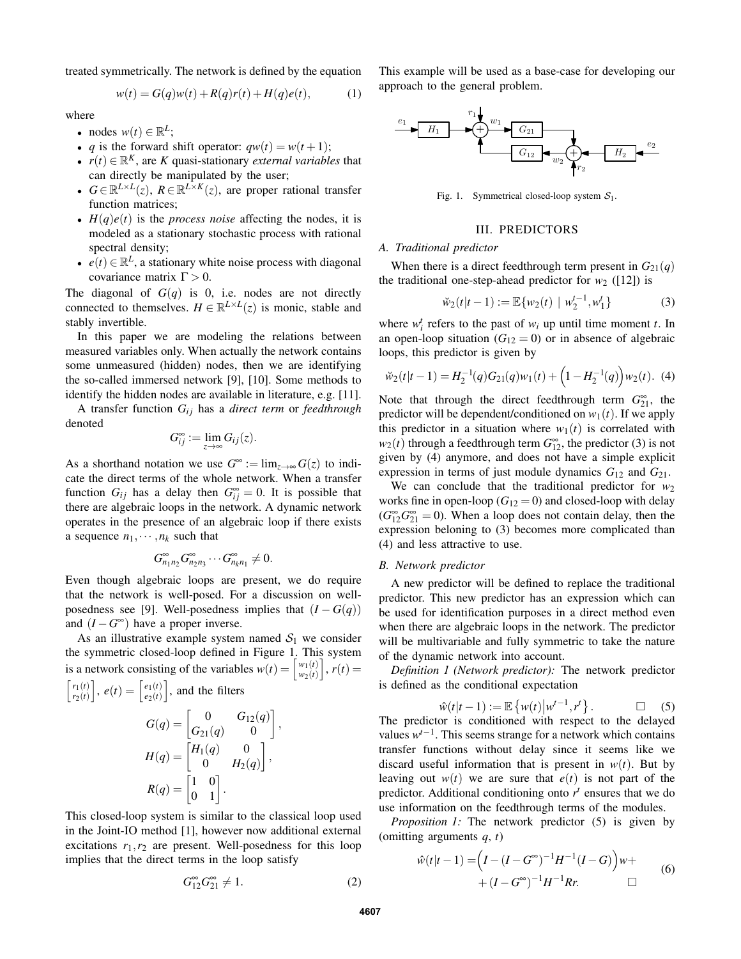treated symmetrically. The network is defined by the equation

$$
w(t) = G(q)w(t) + R(q)r(t) + H(q)e(t),
$$
 (1)

where

- nodes  $w(t) \in \mathbb{R}^L$ ;
- *q* is the forward shift operator:  $qw(t) = w(t+1)$ ;
- $r(t) \in \mathbb{R}^K$ , are *K* quasi-stationary *external variables* that can directly be manipulated by the user;
- $G \in \mathbb{R}^{L \times L}(z)$ ,  $R \in \mathbb{R}^{L \times K}(z)$ , are proper rational transfer function matrices;
- $H(q)e(t)$  is the *process noise* affecting the nodes, it is modeled as a stationary stochastic process with rational spectral density;
- $e(t) \in \mathbb{R}^L$ , a stationary white noise process with diagonal covariance matrix  $\Gamma > 0$ .

The diagonal of  $G(q)$  is 0, i.e. nodes are not directly connected to themselves.  $H \in \mathbb{R}^{L \times L}(z)$  is monic, stable and stably invertible.

In this paper we are modeling the relations between measured variables only. When actually the network contains some unmeasured (hidden) nodes, then we are identifying the so-called immersed network [9], [10]. Some methods to identify the hidden nodes are available in literature, e.g. [11].

A transfer function  $G_{ij}$  has a *direct term* or *feedthrough* denoted

$$
G_{ij}^{\infty} := \lim_{z \to \infty} G_{ij}(z).
$$

As a shorthand notation we use  $G^{\infty} := \lim_{z \to \infty} G(z)$  to indicate the direct terms of the whole network. When a transfer function  $G_{ij}$  has a delay then  $G_{ij}^{\infty} = 0$ . It is possible that there are algebraic loops in the network. A dynamic network operates in the presence of an algebraic loop if there exists a sequence  $n_1, \dots, n_k$  such that

$$
G_{n_1n_2}^{\infty}G_{n_2n_3}^{\infty}\cdots G_{n_kn_1}^{\infty}\neq 0.
$$

Even though algebraic loops are present, we do require that the network is well-posed. For a discussion on wellposedness see [9]. Well-posedness implies that  $(I - G(q))$ and  $(I - G^{\infty})$  have a proper inverse.

As an illustrative example system named  $S_1$  we consider the symmetric closed-loop defined in Figure 1. This system is a network consisting of the variables  $w(t) = \begin{bmatrix} w_1(t) \\ w_2(t) \end{bmatrix}$  $w_2(t)$  $\Big\}, r(t) =$ h

$$
\begin{aligned}\n\mathcal{F}_1(t) \bigg],\ e(t) &= \begin{bmatrix} e_1(t) \\ e_2(t) \end{bmatrix}, \text{ and the filters} \\
G(q) &= \begin{bmatrix} 0 & G_{12}(q) \\ G_{21}(q) & 0 \end{bmatrix}, \\
H(q) &= \begin{bmatrix} H_1(q) & 0 \\ 0 & H_2(q) \end{bmatrix}, \\
R(q) &= \begin{bmatrix} 1 & 0 \\ 0 & 1 \end{bmatrix}.\n\end{aligned}
$$

This closed-loop system is similar to the classical loop used in the Joint-IO method [1], however now additional external excitations  $r_1, r_2$  are present. Well-posedness for this loop implies that the direct terms in the loop satisfy

$$
G_{12}^{\infty}G_{21}^{\infty} \neq 1. \tag{2}
$$

This example will be used as a base-case for developing our approach to the general problem.



Fig. 1. Symmetrical closed-loop system  $S_1$ .

#### III. PREDICTORS

#### *A. Traditional predictor*

When there is a direct feedthrough term present in  $G_{21}(q)$ the traditional one-step-ahead predictor for  $w_2$  ([12]) is

$$
\tilde{w}_2(t|t-1) := \mathbb{E}\{w_2(t) \mid w_2^{t-1}, w_1^t\} \tag{3}
$$

where  $w_i^t$  refers to the past of  $w_i$  up until time moment *t*. In an open-loop situation  $(G_{12} = 0)$  or in absence of algebraic loops, this predictor is given by

$$
\tilde{w}_2(t|t-1) = H_2^{-1}(q)G_{21}(q)w_1(t) + \left(1 - H_2^{-1}(q)\right)w_2(t). \tag{4}
$$

Note that through the direct feedthrough term  $G_{21}^{\infty}$ , the predictor will be dependent/conditioned on  $w_1(t)$ . If we apply this predictor in a situation where  $w_1(t)$  is correlated with  $w_2(t)$  through a feedthrough term  $G_{12}^{\infty}$ , the predictor (3) is not given by (4) anymore, and does not have a simple explicit expression in terms of just module dynamics *G*<sup>12</sup> and *G*21.

We can conclude that the traditional predictor for  $w_2$ works fine in open-loop  $(G_{12} = 0)$  and closed-loop with delay  $(G_{12}^{\infty}G_{21}^{\infty}=0)$ . When a loop does not contain delay, then the expression beloning to (3) becomes more complicated than (4) and less attractive to use.

# *B. Network predictor*

A new predictor will be defined to replace the traditional predictor. This new predictor has an expression which can be used for identification purposes in a direct method even when there are algebraic loops in the network. The predictor will be multivariable and fully symmetric to take the nature of the dynamic network into account.

*Definition 1 (Network predictor):* The network predictor is defined as the conditional expectation

$$
\hat{w}(t|t-1) := \mathbb{E}\left\{w(t)|w^{t-1},r^t\right\}.\qquad \qquad \Box \qquad (5)
$$

 $\hat{w}(t|t-1) := \mathbb{E}\left\{w(t)|w^{t-1}, r^t\right\}.$   $\square$  (5)<br>The predictor is conditioned with respect to the delayed values *w t*−1 . This seems strange for a network which contains transfer functions without delay since it seems like we discard useful information that is present in  $w(t)$ . But by leaving out  $w(t)$  we are sure that  $e(t)$  is not part of the predictor. Additional conditioning onto  $r<sup>t</sup>$  ensures that we do use information on the feedthrough terms of the modules.

*Proposition 1:* The network predictor (5) is given by (omitting arguments *q*, *t*)

$$
\hat{w}(t|t-1) = \left(I - (I - G^{\infty})^{-1}H^{-1}(I - G)\right)w +
$$
  
 
$$
+ (I - G^{\infty})^{-1}H^{-1}Rr. \qquad \Box
$$
 (6)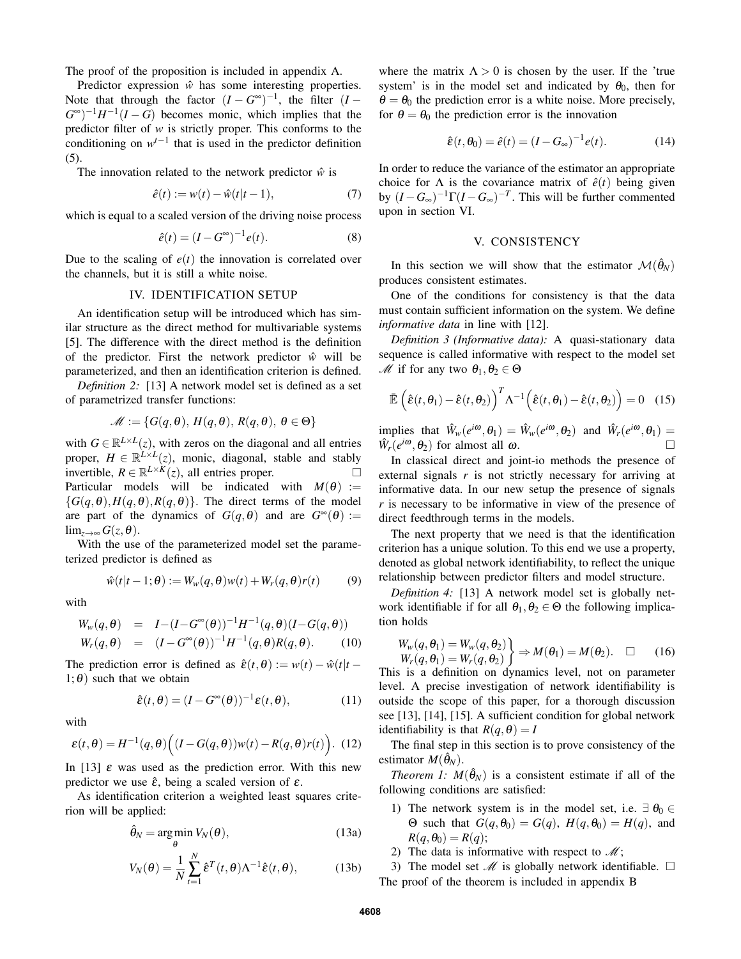The proof of the proposition is included in appendix A.

Predictor expression  $\hat{w}$  has some interesting properties. Note that through the factor  $(I - G^{\infty})^{-1}$ , the filter  $(I - G^{\infty})$  $G^{\infty})^{-1}H^{-1}(I - G)$  becomes monic, which implies that the predictor filter of *w* is strictly proper. This conforms to the conditioning on  $w^{t-1}$  that is used in the predictor definition (5).

The innovation related to the network predictor  $\hat{w}$  is

$$
\hat{e}(t) := w(t) - \hat{w}(t|t-1),\tag{7}
$$

which is equal to a scaled version of the driving noise process

$$
\hat{e}(t) = (I - G^{\infty})^{-1} e(t). \tag{8}
$$

Due to the scaling of  $e(t)$  the innovation is correlated over the channels, but it is still a white noise.

## IV. IDENTIFICATION SETUP

An identification setup will be introduced which has similar structure as the direct method for multivariable systems [5]. The difference with the direct method is the definition of the predictor. First the network predictor  $\hat{w}$  will be parameterized, and then an identification criterion is defined.

*Definition 2:* [13] A network model set is defined as a set of parametrized transfer functions:

$$
\mathscr{M} := \{ G(q, \theta), H(q, \theta), R(q, \theta), \theta \in \Theta \}
$$

with  $G \in \mathbb{R}^{L \times L}(z)$ , with zeros on the diagonal and all entries proper,  $H \in \mathbb{R}^{\tilde{L} \times L}(z)$ , monic, diagonal, stable and stably invertible,  $R \in \mathbb{R}^{L \times K}(z)$ , all entries proper. □ Particular models will be indicated with  $M(\theta) :=$  ${G(q, \theta), H(q, \theta), R(q, \theta)}$ . The direct terms of the model are part of the dynamics of  $G(q, \theta)$  and are  $G^{\infty}(\theta) :=$  $\lim_{z\to\infty} G(z,\theta)$ .

With the use of the parameterized model set the parameterized predictor is defined as

$$
\hat{w}(t|t-1;\theta) := W_w(q,\theta)w(t) + W_r(q,\theta)r(t) \tag{9}
$$

with

$$
W_w(q, \theta) = I - (I - G^{\infty}(\theta))^{-1} H^{-1}(q, \theta) (I - G(q, \theta))
$$
  
\n
$$
W_r(q, \theta) = (I - G^{\infty}(\theta))^{-1} H^{-1}(q, \theta) R(q, \theta).
$$
 (10)

The prediction error is defined as  $\hat{\varepsilon}(t,\theta) := w(t) - \hat{w}(t)t$ 1;  $\theta$ ) such that we obtain

$$
\hat{\varepsilon}(t,\theta) = (I - G^{\infty}(\theta))^{-1} \varepsilon(t,\theta), \tag{11}
$$

with

$$
\varepsilon(t,\theta) = H^{-1}(q,\theta)\Big((I - G(q,\theta))w(t) - R(q,\theta)r(t)\Big). \tag{12}
$$

In [13]  $\varepsilon$  was used as the prediction error. With this new predictor we use  $\hat{\varepsilon}$ , being a scaled version of  $\varepsilon$ .

As identification criterion a weighted least squares criterion will be applied:

$$
\hat{\theta}_N = \underset{\theta}{\arg\min} \ V_N(\theta), \tag{13a}
$$

$$
V_N(\theta) = \frac{1}{N} \sum_{t=1}^N \hat{\varepsilon}^T(t, \theta) \Lambda^{-1} \hat{\varepsilon}(t, \theta), \qquad (13b)
$$

where the matrix  $\Lambda > 0$  is chosen by the user. If the 'true system' is in the model set and indicated by  $\theta_0$ , then for  $\theta = \theta_0$  the prediction error is a white noise. More precisely, for  $\theta = \theta_0$  the prediction error is the innovation

$$
\hat{\varepsilon}(t,\theta_0) = \hat{e}(t) = (I - G_{\infty})^{-1}e(t). \tag{14}
$$

In order to reduce the variance of the estimator an appropriate choice for  $\Lambda$  is the covariance matrix of  $\hat{e}(t)$  being given by  $(I - G_{\infty})^{-1} \Gamma (I - G_{\infty})^{-T}$ . This will be further commented upon in section VI.

#### V. CONSISTENCY

In this section we will show that the estimator  $\mathcal{M}(\hat{\theta}_N)$ produces consistent estimates.

One of the conditions for consistency is that the data must contain sufficient information on the system. We define *informative data* in line with [12].

*Definition 3 (Informative data):* A quasi-stationary data sequence is called informative with respect to the model set *M* if for any two  $\theta_1, \theta_2 \in \Theta$ 

$$
\mathbb{E}\left(\hat{\varepsilon}(t,\theta_1)-\hat{\varepsilon}(t,\theta_2)\right)^T \Lambda^{-1}\left(\hat{\varepsilon}(t,\theta_1)-\hat{\varepsilon}(t,\theta_2)\right) = 0 \quad (15)
$$

implies that  $\hat{W}_w(e^{i\omega}, \theta_1) = \hat{W}_w(e^{i\omega}, \theta_2)$  and  $\hat{W}_r(e^{i\omega}, \theta_1) =$  $\hat{W}_r(e^{i\omega}, \theta_2)$  for almost all  $\omega$ .

In classical direct and joint-io methods the presence of external signals *r* is not strictly necessary for arriving at informative data. In our new setup the presence of signals *r* is necessary to be informative in view of the presence of direct feedthrough terms in the models.

The next property that we need is that the identification criterion has a unique solution. To this end we use a property, denoted as global network identifiability, to reflect the unique relationship between predictor filters and model structure.

*Definition 4:* [13] A network model set is globally network identifiable if for all  $\theta_1, \theta_2 \in \Theta$  the following implication holds

$$
\begin{aligned} W_w(q, \theta_1) &= W_w(q, \theta_2) \\ W_r(q, \theta_1) &= W_r(q, \theta_2) \end{aligned} \bigg\} \Rightarrow M(\theta_1) = M(\theta_2). \quad \Box \qquad (16)
$$

This is a definition on dynamics level, not on parameter level. A precise investigation of network identifiability is outside the scope of this paper, for a thorough discussion see [13], [14], [15]. A sufficient condition for global network identifiability is that  $R(q, \theta) = I$ 

The final step in this section is to prove consistency of the estimator  $M(\hat{\theta}_N)$ .

*Theorem 1:*  $M(\hat{\theta}_N)$  is a consistent estimate if all of the following conditions are satisfied:

- 1) The network system is in the model set, i.e.  $\exists \theta_0 \in$ Θ such that  $G(q, θ_0) = G(q)$ ,  $H(q, θ_0) = H(q)$ , and  $R(q, \theta_0) = R(q);$
- 2) The data is informative with respect to  $\mathcal{M}$ ;

3) The model set  $\mathcal M$  is globally network identifiable.  $\Box$ The proof of the theorem is included in appendix B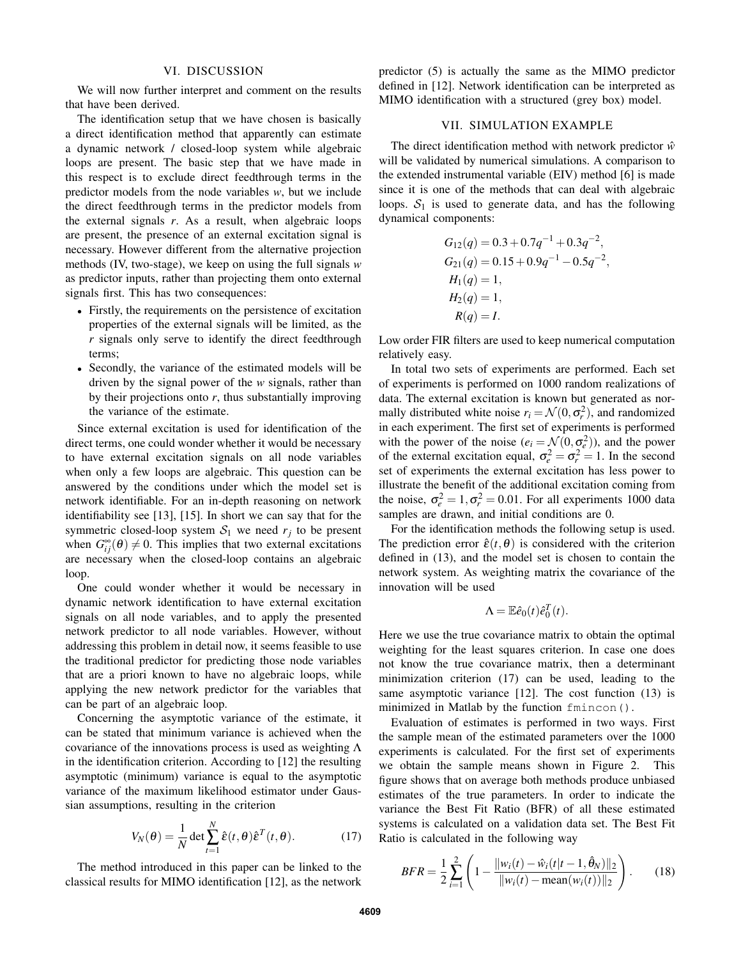## VI. DISCUSSION

We will now further interpret and comment on the results that have been derived.

The identification setup that we have chosen is basically a direct identification method that apparently can estimate a dynamic network / closed-loop system while algebraic loops are present. The basic step that we have made in this respect is to exclude direct feedthrough terms in the predictor models from the node variables *w*, but we include the direct feedthrough terms in the predictor models from the external signals *r*. As a result, when algebraic loops are present, the presence of an external excitation signal is necessary. However different from the alternative projection methods (IV, two-stage), we keep on using the full signals *w* as predictor inputs, rather than projecting them onto external signals first. This has two consequences:

- Firstly, the requirements on the persistence of excitation properties of the external signals will be limited, as the *r* signals only serve to identify the direct feedthrough terms;
- Secondly, the variance of the estimated models will be driven by the signal power of the *w* signals, rather than by their projections onto *r*, thus substantially improving the variance of the estimate.

Since external excitation is used for identification of the direct terms, one could wonder whether it would be necessary to have external excitation signals on all node variables when only a few loops are algebraic. This question can be answered by the conditions under which the model set is network identifiable. For an in-depth reasoning on network identifiability see [13], [15]. In short we can say that for the symmetric closed-loop system  $S_1$  we need  $r_j$  to be present when  $G_{ij}^{\infty}(\theta) \neq 0$ . This implies that two external excitations are necessary when the closed-loop contains an algebraic loop.

One could wonder whether it would be necessary in dynamic network identification to have external excitation signals on all node variables, and to apply the presented network predictor to all node variables. However, without addressing this problem in detail now, it seems feasible to use the traditional predictor for predicting those node variables that are a priori known to have no algebraic loops, while applying the new network predictor for the variables that can be part of an algebraic loop.

Concerning the asymptotic variance of the estimate, it can be stated that minimum variance is achieved when the covariance of the innovations process is used as weighting  $\Lambda$ in the identification criterion. According to [12] the resulting asymptotic (minimum) variance is equal to the asymptotic variance of the maximum likelihood estimator under Gaussian assumptions, resulting in the criterion

$$
V_N(\theta) = \frac{1}{N} \det \sum_{t=1}^N \hat{\varepsilon}(t, \theta) \hat{\varepsilon}^T(t, \theta).
$$
 (17)

The method introduced in this paper can be linked to the classical results for MIMO identification [12], as the network

predictor (5) is actually the same as the MIMO predictor defined in [12]. Network identification can be interpreted as MIMO identification with a structured (grey box) model.

# VII. SIMULATION EXAMPLE

The direct identification method with network predictor  $\hat{w}$ will be validated by numerical simulations. A comparison to the extended instrumental variable (EIV) method [6] is made since it is one of the methods that can deal with algebraic loops.  $S_1$  is used to generate data, and has the following dynamical components:

$$
G_{12}(q) = 0.3 + 0.7q^{-1} + 0.3q^{-2},
$$
  
\n
$$
G_{21}(q) = 0.15 + 0.9q^{-1} - 0.5q^{-2},
$$
  
\n
$$
H_1(q) = 1,
$$
  
\n
$$
H_2(q) = 1,
$$
  
\n
$$
R(q) = I.
$$

Low order FIR filters are used to keep numerical computation relatively easy.

In total two sets of experiments are performed. Each set of experiments is performed on 1000 random realizations of data. The external excitation is known but generated as normally distributed white noise  $r_i = \mathcal{N}(0, \sigma_r^2)$ , and randomized in each experiment. The first set of experiments is performed with the power of the noise  $(e_i = \mathcal{N}(0, \sigma_e^2))$ , and the power of the external excitation equal,  $\sigma_e^2 = \sigma_r^2 = 1$ . In the second set of experiments the external excitation has less power to illustrate the benefit of the additional excitation coming from the noise,  $\sigma_e^2 = 1, \sigma_r^2 = 0.01$ . For all experiments 1000 data samples are drawn, and initial conditions are 0.

For the identification methods the following setup is used. The prediction error  $\hat{\varepsilon}(t,\theta)$  is considered with the criterion defined in (13), and the model set is chosen to contain the network system. As weighting matrix the covariance of the innovation will be used

$$
\Lambda = \mathbb{E}\hat{e}_0(t)\hat{e}_0^T(t).
$$

Here we use the true covariance matrix to obtain the optimal weighting for the least squares criterion. In case one does not know the true covariance matrix, then a determinant minimization criterion (17) can be used, leading to the same asymptotic variance [12]. The cost function (13) is minimized in Matlab by the function fmincon().

Evaluation of estimates is performed in two ways. First the sample mean of the estimated parameters over the 1000 experiments is calculated. For the first set of experiments we obtain the sample means shown in Figure 2. This figure shows that on average both methods produce unbiased estimates of the true parameters. In order to indicate the variance the Best Fit Ratio (BFR) of all these estimated systems is calculated on a validation data set. The Best Fit Ratio is calculated in the following way

$$
BFR = \frac{1}{2} \sum_{i=1}^{2} \left( 1 - \frac{\|w_i(t) - \hat{w}_i(t|t-1, \hat{\theta}_N)\|_2}{\|w_i(t) - \text{mean}(w_i(t))\|_2} \right). \tag{18}
$$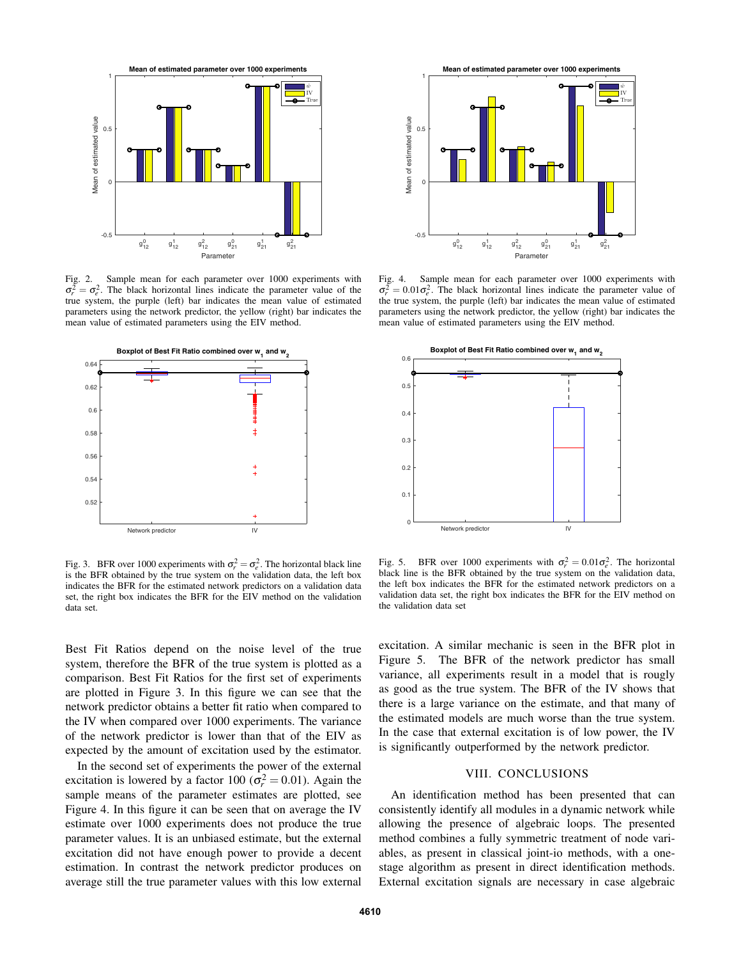

Fig. 2. Sample mean for each parameter over 1000 experiments with  $\sigma_r^2 = \sigma_e^2$ . The black horizontal lines indicate the parameter value of the true system, the purple (left) bar indicates the mean value of estimated parameters using the network predictor, the yellow (right) bar indicates the mean value of estimated parameters using the EIV method.



Fig. 3. BFR over 1000 experiments with  $\sigma_r^2 = \sigma_e^2$ . The horizontal black line is the BFR obtained by the true system on the validation data, the left box indicates the BFR for the estimated network predictors on a validation data set, the right box indicates the BFR for the EIV method on the validation data set.

Best Fit Ratios depend on the noise level of the true system, therefore the BFR of the true system is plotted as a comparison. Best Fit Ratios for the first set of experiments are plotted in Figure 3. In this figure we can see that the network predictor obtains a better fit ratio when compared to the IV when compared over 1000 experiments. The variance of the network predictor is lower than that of the EIV as expected by the amount of excitation used by the estimator.

In the second set of experiments the power of the external excitation is lowered by a factor 100 ( $\sigma_r^2 = 0.01$ ). Again the sample means of the parameter estimates are plotted, see Figure 4. In this figure it can be seen that on average the IV estimate over 1000 experiments does not produce the true parameter values. It is an unbiased estimate, but the external excitation did not have enough power to provide a decent estimation. In contrast the network predictor produces on average still the true parameter values with this low external



Fig. 4. Sample mean for each parameter over 1000 experiments with  $\sigma_r^2 = 0.01 \sigma_e^2$ . The black horizontal lines indicate the parameter value of the true system, the purple (left) bar indicates the mean value of estimated parameters using the network predictor, the yellow (right) bar indicates the mean value of estimated parameters using the EIV method.



Fig. 5. BFR over 1000 experiments with  $\sigma_r^2 = 0.01 \sigma_e^2$ . The horizontal black line is the BFR obtained by the true system on the validation data, the left box indicates the BFR for the estimated network predictors on a validation data set, the right box indicates the BFR for the EIV method on the validation data set

excitation. A similar mechanic is seen in the BFR plot in Figure 5. The BFR of the network predictor has small variance, all experiments result in a model that is rougly as good as the true system. The BFR of the IV shows that there is a large variance on the estimate, and that many of the estimated models are much worse than the true system. In the case that external excitation is of low power, the IV is significantly outperformed by the network predictor.

# VIII. CONCLUSIONS

An identification method has been presented that can consistently identify all modules in a dynamic network while allowing the presence of algebraic loops. The presented method combines a fully symmetric treatment of node variables, as present in classical joint-io methods, with a onestage algorithm as present in direct identification methods. External excitation signals are necessary in case algebraic